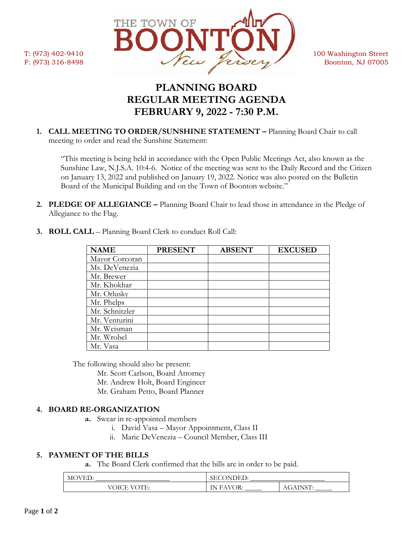

# **PLANNING BOARD REGULAR MEETING AGENDA FEBRUARY 9, 2022 - 7:30 P.M.**

**1. CALL MEETING TO ORDER/SUNSHINE STATEMENT –** Planning Board Chair to call meeting to order and read the Sunshine Statement:

"This meeting is being held in accordance with the Open Public Meetings Act, also known as the Sunshine Law, N.J.S.A. 10:4-6. Notice of the meeting was sent to the Daily Record and the Citizen on January 13, 2022 and published on January 19, 2022. Notice was also posted on the Bulletin Board of the Municipal Building and on the Town of Boonton website."

**2. PLEDGE OF ALLEGIANCE –** Planning Board Chair to lead those in attendance in the Pledge of Allegiance to the Flag.

| <b>NAME</b>    | <b>PRESENT</b> | <b>ABSENT</b> | <b>EXCUSED</b> |
|----------------|----------------|---------------|----------------|
| Mayor Corcoran |                |               |                |
| Ms. DeVenezia  |                |               |                |
| Mr. Brewer     |                |               |                |
| Mr. Khokhar    |                |               |                |
| Mr. Orlusky    |                |               |                |
| Mr. Phelps     |                |               |                |
| Mr. Schnitzler |                |               |                |
| Mr. Venturini  |                |               |                |
| Mr. Weisman    |                |               |                |
| Mr. Wrobel     |                |               |                |
| Mr. Vasa       |                |               |                |

**3. ROLL CALL** – Planning Board Clerk to conduct Roll Call:

The following should also be present:

Mr. Scott Carlson, Board Attorney

- Mr. Andrew Holt, Board Engineer
- Mr. Graham Petto, Board Planner

# **4. BOARD RE-ORGANIZATION**

- **a.** Swear in re-appointed members
	- i. David Vasa Mayor Appointment, Class II
	- ii. Marie DeVenezia Council Member, Class III

# **5. PAYMENT OF THE BILLS**

**a.** The Board Clerk confirmed that the bills are in order to be paid.

| <b>MOVED:</b> | )NDED:<br>SEC       |                         |
|---------------|---------------------|-------------------------|
| VOICE VOTE:   | <b>FAVOR:</b><br>'N | <b>INKT</b><br>AGAINSI: |